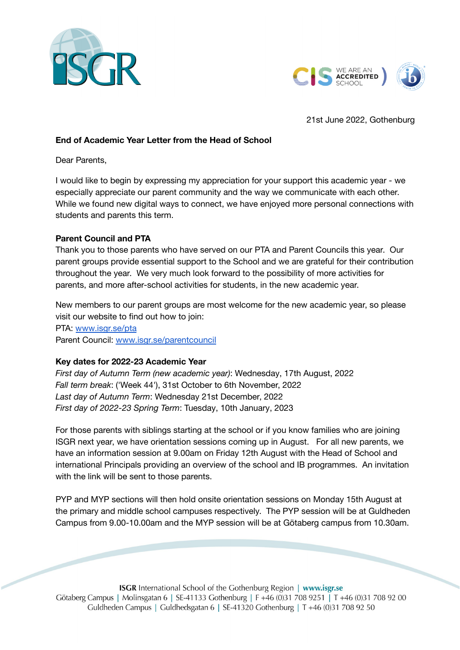



21st June 2022, Gothenburg

## **End of Academic Year Letter from the Head of School**

Dear Parents,

I would like to begin by expressing my appreciation for your support this academic year - we especially appreciate our parent community and the way we communicate with each other. While we found new digital ways to connect, we have enjoyed more personal connections with students and parents this term.

## **Parent Council and PTA**

Thank you to those parents who have served on our PTA and Parent Councils this year. Our parent groups provide essential support to the School and we are grateful for their contribution throughout the year. We very much look forward to the possibility of more activities for parents, and more after-school activities for students, in the new academic year.

New members to our parent groups are most welcome for the new academic year, so please visit our website to find out how to join: PTA: [www.isgr.se/pta](http://www.isgr.se/pta)

Parent Council: [www.isgr.se/parentcouncil](http://www.isgr.se/parentcouncil)

## **Key dates for 2022-23 Academic Year**

*First day of Autumn Term (new academic year)*: Wednesday, 17th August, 2022 *Fall term break*: ('Week 44'), 31st October to 6th November, 2022 *Last day of Autumn Term*: Wednesday 21st December, 2022 *First day of 2022-23 Spring Term*: Tuesday, 10th January, 2023

For those parents with siblings starting at the school or if you know families who are joining ISGR next year, we have orientation sessions coming up in August. For all new parents, we have an information session at 9.00am on Friday 12th August with the Head of School and international Principals providing an overview of the school and IB programmes. An invitation with the link will be sent to those parents.

PYP and MYP sections will then hold onsite orientation sessions on Monday 15th August at the primary and middle school campuses respectively. The PYP session will be at Guldheden Campus from 9.00-10.00am and the MYP session will be at Götaberg campus from 10.30am.

**ISGR** International School of the Gothenburg Region | www.isgr.se Götaberg Campus | Molinsgatan 6 | SE-41133 Gothenburg | F +46 (0)31 708 9251 | T +46 (0)31 708 92 00 Guldheden Campus | Guldhedsgatan 6 | SE-41320 Gothenburg | T +46 (0)31 708 92 50